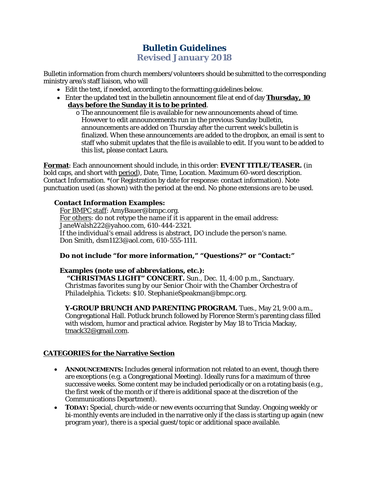## **Bulletin Guidelines Revised January 2018**

Bulletin information from church members/volunteers should be submitted to the corresponding ministry area's staff liaison, who will

- Edit the text, if needed, according to the formatting guidelines below.
- Enter the updated text in the bulletin announcement file at end of day **Thursday, 10 days before the Sunday it is to be printed**.
	- o The announcement file is available for new announcements ahead of time. However to edit announcements run in the previous Sunday bulletin, announcements are added on Thursday after the current week's bulletin is finalized. When these announcements are added to the dropbox, an email is sent to staff who submit updates that the file is available to edit. If you want to be added to this list, please contact Laura.

**Format**: Each announcement should include, in this order: **EVENT TITLE/TEASER.** (in bold caps, and short with period), Date, Time, Location. Maximum 60-word description. Contact Information. \*(or Registration by date for response: contact information). Note punctuation used (as shown) with the period at the end. No phone extensions are to be used.

### **Contact Information Examples:**

For BMPC staff: AmyBauer@bmpc.org. For others: do not retype the name if it is apparent in the email address: JaneWalsh222@yahoo.com, 610-444-2321. If the individual's email address is abstract, DO include the person's name. Don Smith, dsm1123@aol.com, 610-555-1111.

### **Do not include "for more information," "Questions?" or "Contact:"**

### **Examples (note use of abbreviations, etc.):**

**"CHRISTMAS LIGHT" CONCERT.** Sun., Dec. 11, 4:00 p.m., Sanctuary. Christmas favorites sung by our Senior Choir with the Chamber Orchestra of Philadelphia. Tickets: \$10. StephanieSpeakman@bmpc.org.

**Y-GROUP BRUNCH AND PARENTING PROGRAM.** Tues., May 21, 9:00 a.m., Congregational Hall. Potluck brunch followed by Florence Sterm's parenting class filled with wisdom, humor and practical advice. Register by May 18 to Tricia Mackay, [tmack32@gmail.com.](mailto:tmack32@gmail.com)

### **CATEGORIES for the Narrative Section**

- **ANNOUNCEMENTS:** Includes general information not related to an event, though there are exceptions (e.g. a Congregational Meeting). Ideally runs for a maximum of three successive weeks. Some content may be included periodically or on a rotating basis (e.g., the first week of the month or if there is additional space at the discretion of the Communications Department).
- **TODAY:** Special, church-wide or new events occurring that Sunday. Ongoing weekly or bi-monthly events are included in the narrative only if the class is starting up again (new program year), there is a special guest/topic or additional space available.